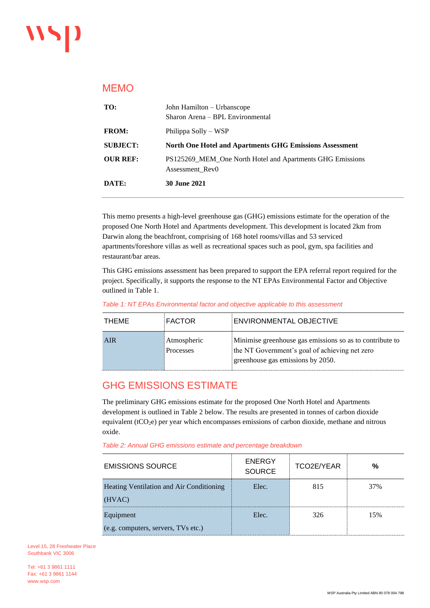## MEMO

| TO:             | John Hamilton – Urbanscope<br>Sharon Arena – BPL Environmental               |
|-----------------|------------------------------------------------------------------------------|
| <b>FROM:</b>    | Philippa Solly – WSP                                                         |
| <b>SUBJECT:</b> | North One Hotel and Apartments GHG Emissions Assessment                      |
| <b>OUR REF:</b> | PS125269_MEM_One North Hotel and Apartments GHG Emissions<br>Assessment Rev0 |
| <b>DATE:</b>    | <b>30 June 2021</b>                                                          |

This memo presents a high-level greenhouse gas (GHG) emissions estimate for the operation of the proposed One North Hotel and Apartments development. This development is located 2km from Darwin along the beachfront, comprising of 168 hotel rooms/villas and 53 serviced apartments/foreshore villas as well as recreational spaces such as pool, gym, spa facilities and restaurant/bar areas.

This GHG emissions assessment has been prepared to support the EPA referral report required for the project. Specifically, it supports the response to the NT EPAs Environmental Factor and Objective outlined in Table 1.

| Table 1: NT EPAs Environmental factor and objective applicable to this assessment |           |                                |  |
|-----------------------------------------------------------------------------------|-----------|--------------------------------|--|
| TUEME                                                                             | $E$ ACTOD | $E$ CAIMIDONIMENTAL OR IECTIME |  |

| THEME | FACTOR                   | <b>ENVIRONMENTAL OBJECTIVE</b>                                                                                                                  |
|-------|--------------------------|-------------------------------------------------------------------------------------------------------------------------------------------------|
| AIR   | Atmospheric<br>Processes | Minimise greenhouse gas emissions so as to contribute to<br>the NT Government's goal of achieving net zero<br>greenhouse gas emissions by 2050. |

# GHG EMISSIONS ESTIMATE

The preliminary GHG emissions estimate for the proposed One North Hotel and Apartments development is outlined i[n Table 2](#page-0-0) below. The results are presented in tonnes of carbon dioxide equivalent (tCO<sub>2</sub>e) per year which encompasses emissions of carbon dioxide, methane and nitrous oxide.

<span id="page-0-0"></span>

| <b>EMISSIONS SOURCE</b>                  | <b>ENERGY</b><br><b>SOURCE</b> | TCO2E/YEAR | %   |
|------------------------------------------|--------------------------------|------------|-----|
| Heating Ventilation and Air Conditioning | Elec.                          | 815        | 37% |
| (HVAC)                                   |                                |            |     |
| Equipment                                | Elec.                          | 326        | 15% |
| (e.g. computers, servers, TVs etc.)      |                                |            |     |

Level 15, 28 Freshwater Place Southbank VIC 3006

Tel: +61 3 9861 1111 Fax: +61 3 9861 1144 www.wsp.com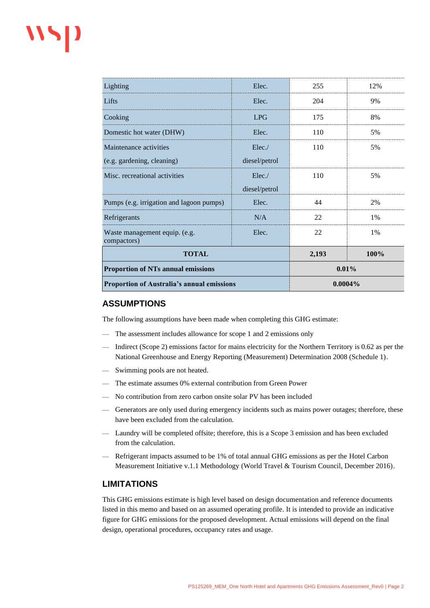# wsp

| <b>Proportion of Australia's annual emissions</b> |               | $0.0004\%$ |      |
|---------------------------------------------------|---------------|------------|------|
| <b>Proportion of NTs annual emissions</b>         |               | 0.01%      |      |
| <b>TOTAL</b>                                      |               | 2,193      | 100% |
| Waste management equip. (e.g.<br>compactors)      | Elec.         | 22         | 1%   |
| Refrigerants                                      | N/A           | 22         | 1%   |
| Pumps (e.g. irrigation and lagoon pumps)          | Elec.         | 44         | 2%   |
|                                                   | diesel/petrol |            |      |
| Misc. recreational activities                     | Elec.         | 110        | 5%   |
| (e.g. gardening, cleaning)                        | diesel/petrol |            |      |
| Maintenance activities                            | Elec.         | 110        | 5%   |
| Domestic hot water (DHW)                          | Elec.         | 110        | 5%   |
| Cooking                                           | <b>LPG</b>    | 175        | 8%   |
| Lifts                                             | Elec.         | 204        | 9%   |
| Lighting                                          | Elec.         | 255        | 12%  |

#### **ASSUMPTIONS**

The following assumptions have been made when completing this GHG estimate:

- The assessment includes allowance for scope 1 and 2 emissions only
- Indirect (Scope 2) emissions factor for mains electricity for the Northern Territory is 0.62 as per the National Greenhouse and Energy Reporting (Measurement) Determination 2008 (Schedule 1).
- Swimming pools are not heated.
- The estimate assumes 0% external contribution from Green Power
- No contribution from zero carbon onsite solar PV has been included
- Generators are only used during emergency incidents such as mains power outages; therefore, these have been excluded from the calculation.
- Laundry will be completed offsite; therefore, this is a Scope 3 emission and has been excluded from the calculation.
- Refrigerant impacts assumed to be 1% of total annual GHG emissions as per the Hotel Carbon Measurement Initiative v.1.1 Methodology (World Travel & Tourism Council, December 2016).

#### **LIMITATIONS**

This GHG emissions estimate is high level based on design documentation and reference documents listed in this memo and based on an assumed operating profile. It is intended to provide an indicative figure for GHG emissions for the proposed development. Actual emissions will depend on the final design, operational procedures, occupancy rates and usage.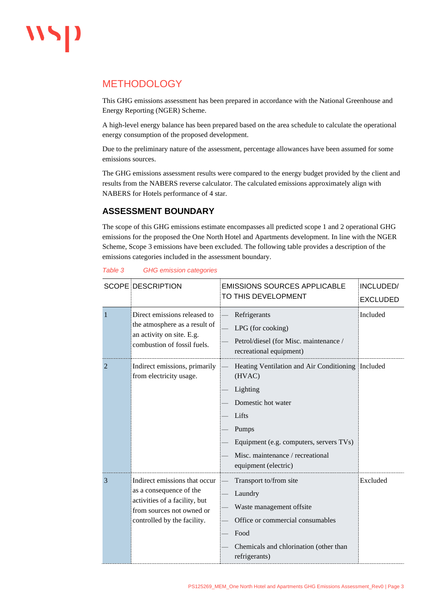# **METHODOLOGY**

This GHG emissions assessment has been prepared in accordance with the National Greenhouse and Energy Reporting (NGER) Scheme.

A high-level energy balance has been prepared based on the area schedule to calculate the operational energy consumption of the proposed development.

Due to the preliminary nature of the assessment, percentage allowances have been assumed for some emissions sources.

The GHG emissions assessment results were compared to the energy budget provided by the client and results from the NABERS reverse calculator. The calculated emissions approximately align with NABERS for Hotels performance of 4 star.

### **ASSESSMENT BOUNDARY**

The scope of this GHG emissions estimate encompasses all predicted scope 1 and 2 operational GHG emissions for the proposed the One North Hotel and Apartments development. In line with the NGER Scheme, Scope 3 emissions have been excluded. The following table provides a description of the emissions categories included in the assessment boundary.

|                | <b>SCOPE DESCRIPTION</b>                                                                                                                              | <b>EMISSIONS SOURCES APPLICABLE</b>                                                                                                                                                                                    | INCLUDED/       |
|----------------|-------------------------------------------------------------------------------------------------------------------------------------------------------|------------------------------------------------------------------------------------------------------------------------------------------------------------------------------------------------------------------------|-----------------|
|                |                                                                                                                                                       | TO THIS DEVELOPMENT                                                                                                                                                                                                    | <b>EXCLUDED</b> |
| 1              | Direct emissions released to<br>the atmosphere as a result of<br>an activity on site. E.g.<br>combustion of fossil fuels.                             | Refrigerants<br>LPG (for cooking)<br>Petrol/diesel (for Misc. maintenance /<br>recreational equipment)                                                                                                                 | Included        |
| $\overline{2}$ | Indirect emissions, primarily<br>from electricity usage.                                                                                              | Heating Ventilation and Air Conditioning Included<br>(HVAC)<br>Lighting<br>Domestic hot water<br>Lifts<br>Pumps<br>Equipment (e.g. computers, servers TVs)<br>Misc. maintenance / recreational<br>equipment (electric) |                 |
| 3              | Indirect emissions that occur<br>as a consequence of the<br>activities of a facility, but<br>from sources not owned or<br>controlled by the facility. | Transport to/from site<br>Laundry<br>Waste management offsite<br>Office or commercial consumables<br>Food<br>Chemicals and chlorination (other than<br>refrigerants)                                                   | Excluded        |

#### *Table 3 GHG emission categories*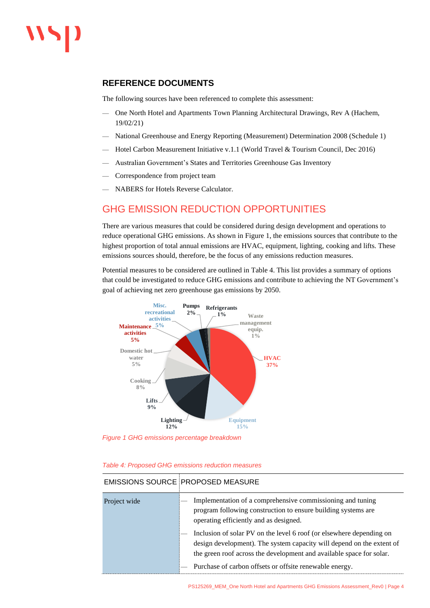#### **REFERENCE DOCUMENTS**

The following sources have been referenced to complete this assessment:

- One North Hotel and Apartments Town Planning Architectural Drawings, Rev A (Hachem, 19/02/21)
- National Greenhouse and Energy Reporting (Measurement) Determination 2008 (Schedule 1)
- Hotel Carbon Measurement Initiative v.1.1 (World Travel & Tourism Council, Dec 2016)
- Australian Government's States and Territories Greenhouse Gas Inventory
- Correspondence from project team
- NABERS for Hotels Reverse Calculator.

# GHG EMISSION REDUCTION OPPORTUNITIES

There are various measures that could be considered during design development and operations to reduce operational GHG emissions. As shown in [Figure 1,](#page-3-0) the emissions sources that contribute to the highest proportion of total annual emissions are HVAC, equipment, lighting, cooking and lifts. These emissions sources should, therefore, be the focus of any emissions reduction measures.

Potential measures to be considered are outlined in [Table 4.](#page-3-1) This list provides a summary of options that could be investigated to reduce GHG emissions and contribute to achieving the NT Government's goal of achieving net zero greenhouse gas emissions by 2050.



<span id="page-3-0"></span>*Figure 1 GHG emissions percentage breakdown*

<span id="page-3-1"></span>*Table 4: Proposed GHG emissions reduction measures*

|              | <b>EMISSIONS SOURCE PROPOSED MEASURE</b>                                                                                                                                                                                                                                         |
|--------------|----------------------------------------------------------------------------------------------------------------------------------------------------------------------------------------------------------------------------------------------------------------------------------|
| Project wide | Implementation of a comprehensive commissioning and tuning<br>program following construction to ensure building systems are<br>operating efficiently and as designed.                                                                                                            |
|              | Inclusion of solar PV on the level 6 roof (or elsewhere depending on<br>design development). The system capacity will depend on the extent of<br>the green roof across the development and available space for solar.<br>Purchase of carbon offsets or offsite renewable energy. |

#### EMISSIONS SOURCE PROPOSED MEASURE